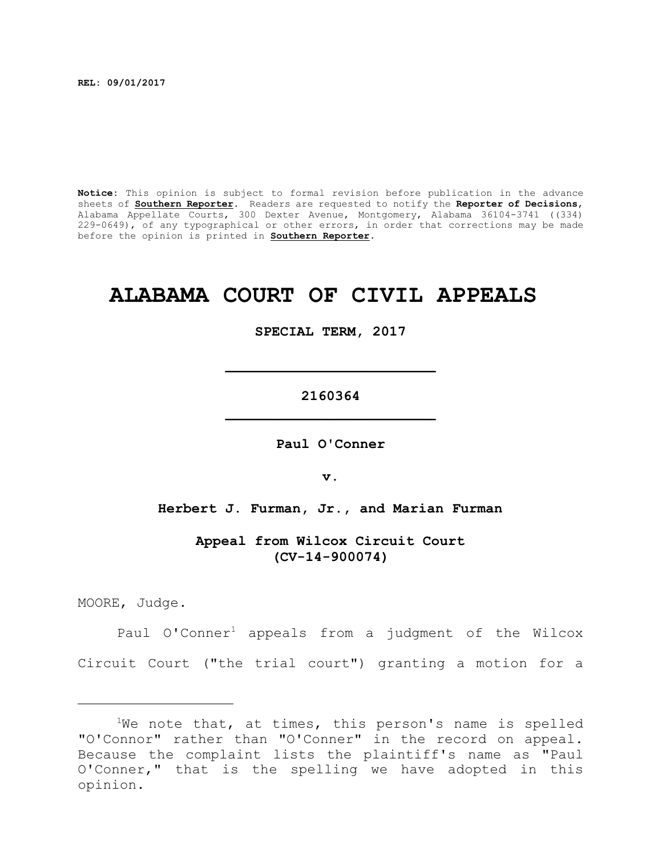**REL: 09/01/2017**

**Notice:** This opinion is subject to formal revision before publication in the advance sheets of **Southern Reporter**. Readers are requested to notify the **Reporter of Decisions**, Alabama Appellate Courts, 300 Dexter Avenue, Montgomery, Alabama 36104-3741 ((334) 229-0649), of any typographical or other errors, in order that corrections may be made before the opinion is printed in **Southern Reporter**.

# **ALABAMA COURT OF CIVIL APPEALS**

#### **SPECIAL TERM, 2017**

**2160364 \_\_\_\_\_\_\_\_\_\_\_\_\_\_\_\_\_\_\_\_\_\_\_\_\_**

**\_\_\_\_\_\_\_\_\_\_\_\_\_\_\_\_\_\_\_\_\_\_\_\_\_**

**Paul O'Conner**

**v.**

**Herbert J. Furman, Jr., and Marian Furman**

**Appeal from Wilcox Circuit Court (CV-14-900074)**

MOORE, Judge.

Paul O'Conner<sup>1</sup> appeals from a judgment of the Wilcox Circuit Court ("the trial court") granting a motion for a

 $1$ We note that, at times, this person's name is spelled "O'Connor" rather than "O'Conner" in the record on appeal. Because the complaint lists the plaintiff's name as "Paul O'Conner," that is the spelling we have adopted in this opinion.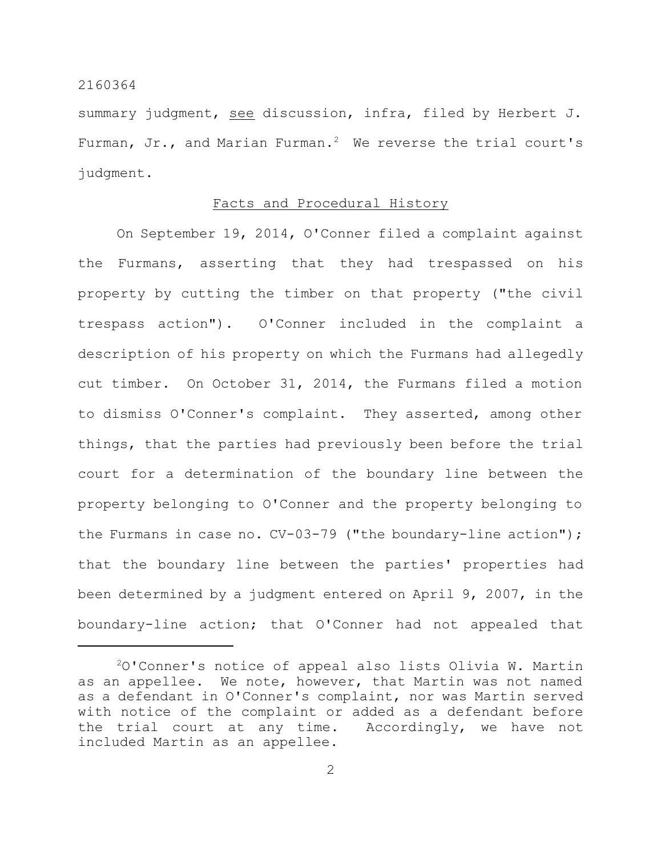summary judgment, see discussion, infra, filed by Herbert J. Furman, Jr., and Marian Furman.<sup>2</sup> We reverse the trial court's judgment.

# Facts and Procedural History

On September 19, 2014, O'Conner filed a complaint against the Furmans, asserting that they had trespassed on his property by cutting the timber on that property ("the civil trespass action"). O'Conner included in the complaint a description of his property on which the Furmans had allegedly cut timber. On October 31, 2014, the Furmans filed a motion to dismiss O'Conner's complaint. They asserted, among other things, that the parties had previously been before the trial court for a determination of the boundary line between the property belonging to O'Conner and the property belonging to the Furmans in case no. CV-03-79 ("the boundary-line action"); that the boundary line between the parties' properties had been determined by a judgment entered on April 9, 2007, in the boundary-line action; that O'Conner had not appealed that

 $20'$ Conner's notice of appeal also lists Olivia W. Martin as an appellee. We note, however, that Martin was not named as a defendant in O'Conner's complaint, nor was Martin served with notice of the complaint or added as a defendant before the trial court at any time. Accordingly, we have not included Martin as an appellee.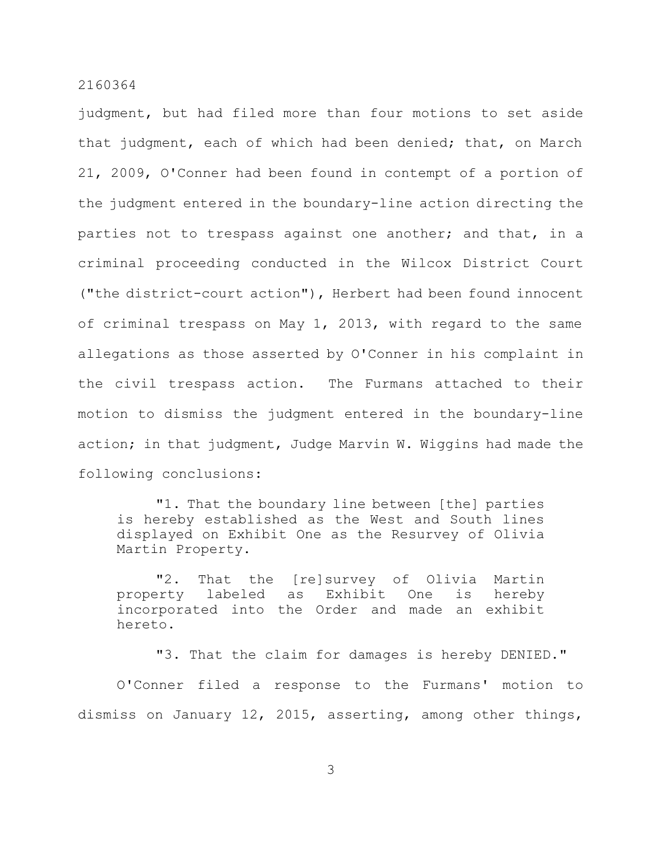judgment, but had filed more than four motions to set aside that judgment, each of which had been denied; that, on March 21, 2009, O'Conner had been found in contempt of a portion of the judgment entered in the boundary-line action directing the parties not to trespass against one another; and that, in a criminal proceeding conducted in the Wilcox District Court ("the district-court action"), Herbert had been found innocent of criminal trespass on May 1, 2013, with regard to the same allegations as those asserted by O'Conner in his complaint in the civil trespass action. The Furmans attached to their motion to dismiss the judgment entered in the boundary-line action; in that judgment, Judge Marvin W. Wiggins had made the following conclusions:

"1. That the boundary line between [the] parties is hereby established as the West and South lines displayed on Exhibit One as the Resurvey of Olivia Martin Property.

"2. That the [re]survey of Olivia Martin property labeled as Exhibit One is hereby incorporated into the Order and made an exhibit hereto.

"3. That the claim for damages is hereby DENIED."

O'Conner filed a response to the Furmans' motion to dismiss on January 12, 2015, asserting, among other things,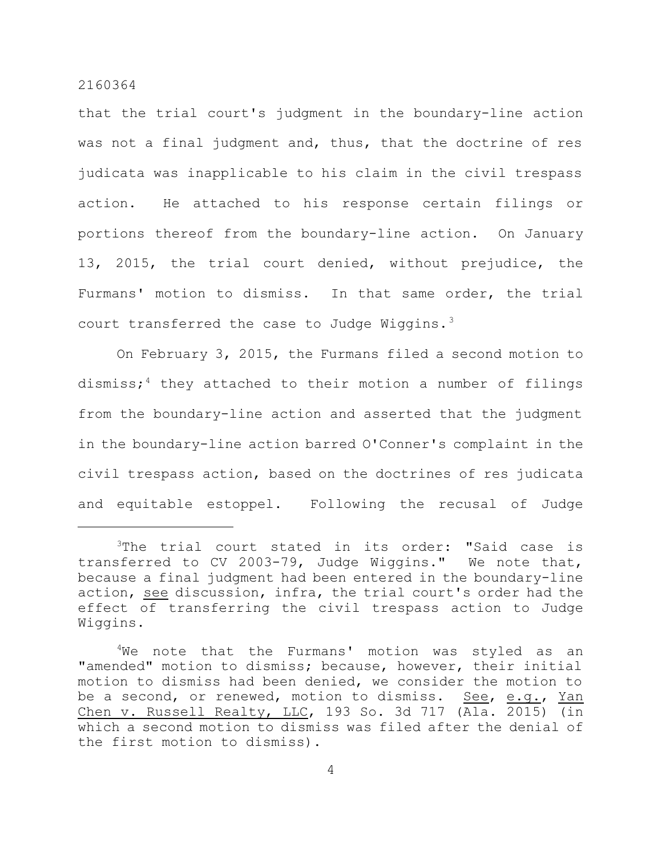that the trial court's judgment in the boundary-line action was not a final judgment and, thus, that the doctrine of res judicata was inapplicable to his claim in the civil trespass action. He attached to his response certain filings or portions thereof from the boundary-line action. On January 13, 2015, the trial court denied, without prejudice, the Furmans' motion to dismiss. In that same order, the trial court transferred the case to Judge Wiggins. $3$ 

On February 3, 2015, the Furmans filed a second motion to dismiss; $4$  they attached to their motion a number of filings from the boundary-line action and asserted that the judgment in the boundary-line action barred O'Conner's complaint in the civil trespass action, based on the doctrines of res judicata and equitable estoppel. Following the recusal of Judge

<sup>&</sup>lt;sup>3</sup>The trial court stated in its order: "Said case is transferred to CV 2003-79, Judge Wiggins." We note that, because a final judgment had been entered in the boundary-line action, see discussion, infra, the trial court's order had the effect of transferring the civil trespass action to Judge Wiggins.

 $4$ We note that the Furmans' motion was styled as an "amended" motion to dismiss; because, however, their initial motion to dismiss had been denied, we consider the motion to be a second, or renewed, motion to dismiss. See, e.g., Yan Chen v. Russell Realty, LLC, 193 So. 3d 717 (Ala. 2015) (in which a second motion to dismiss was filed after the denial of the first motion to dismiss).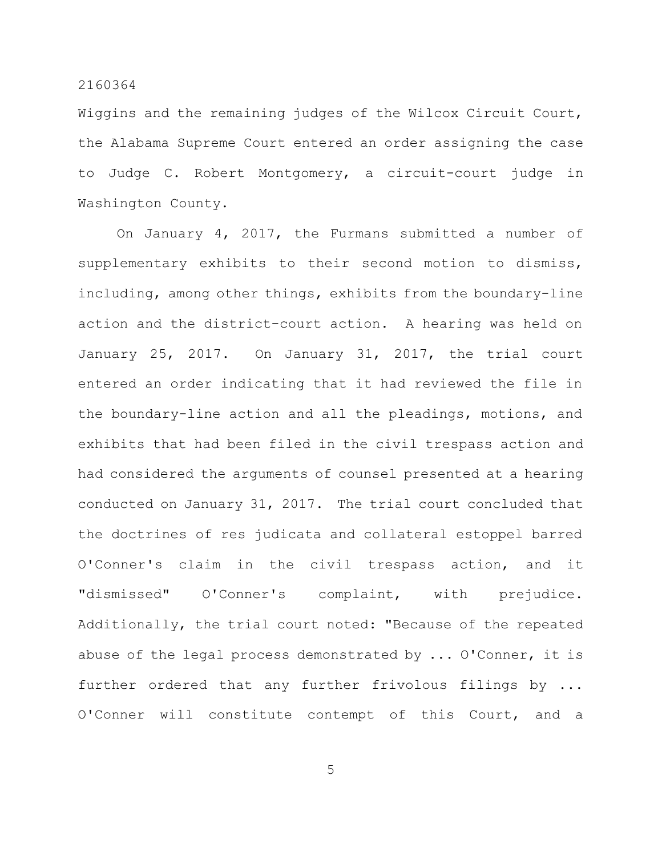Wiggins and the remaining judges of the Wilcox Circuit Court, the Alabama Supreme Court entered an order assigning the case to Judge C. Robert Montgomery, a circuit-court judge in Washington County.

On January 4, 2017, the Furmans submitted a number of supplementary exhibits to their second motion to dismiss, including, among other things, exhibits from the boundary-line action and the district-court action. A hearing was held on January 25, 2017. On January 31, 2017, the trial court entered an order indicating that it had reviewed the file in the boundary-line action and all the pleadings, motions, and exhibits that had been filed in the civil trespass action and had considered the arguments of counsel presented at a hearing conducted on January 31, 2017. The trial court concluded that the doctrines of res judicata and collateral estoppel barred O'Conner's claim in the civil trespass action, and it "dismissed" O'Conner's complaint, with prejudice. Additionally, the trial court noted: "Because of the repeated abuse of the legal process demonstrated by ... O'Conner, it is further ordered that any further frivolous filings by ... O'Conner will constitute contempt of this Court, and a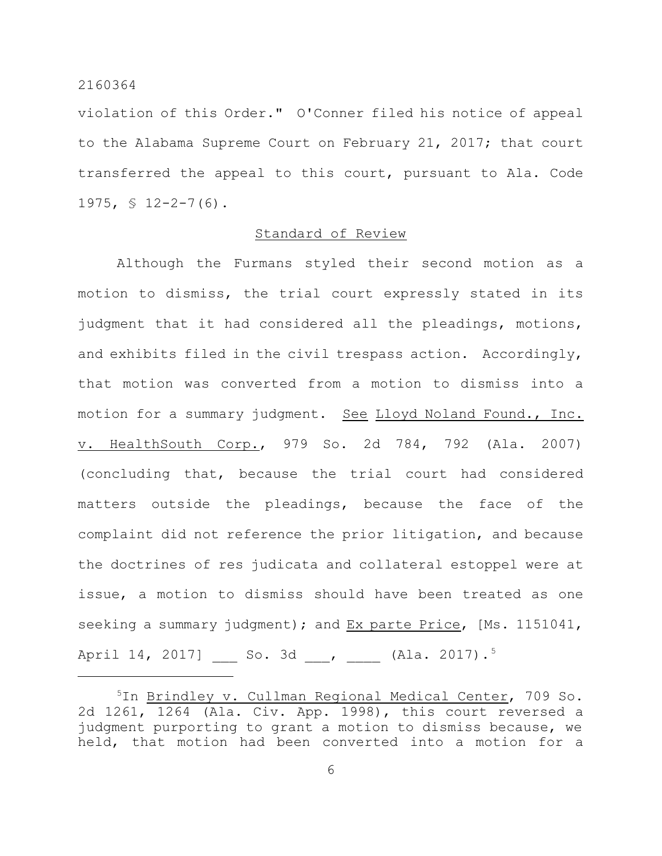violation of this Order." O'Conner filed his notice of appeal to the Alabama Supreme Court on February 21, 2017; that court transferred the appeal to this court, pursuant to Ala. Code 1975, § 12-2-7(6).

# Standard of Review

Although the Furmans styled their second motion as a motion to dismiss, the trial court expressly stated in its judgment that it had considered all the pleadings, motions, and exhibits filed in the civil trespass action. Accordingly, that motion was converted from a motion to dismiss into a motion for a summary judgment. See Lloyd Noland Found., Inc. v. HealthSouth Corp., 979 So. 2d 784, 792 (Ala. 2007) (concluding that, because the trial court had considered matters outside the pleadings, because the face of the complaint did not reference the prior litigation, and because the doctrines of res judicata and collateral estoppel were at issue, a motion to dismiss should have been treated as one seeking a summary judgment); and Ex parte Price, [Ms. 1151041, April 14, 2017] \_\_\_ So. 3d \_\_\_, \_\_\_\_ (Ala. 2017).<sup>5</sup>

<sup>&</sup>lt;sup>5</sup>In Brindley v. Cullman Regional Medical Center, 709 So. 2d 1261, 1264 (Ala. Civ. App. 1998), this court reversed a judgment purporting to grant a motion to dismiss because, we held, that motion had been converted into a motion for a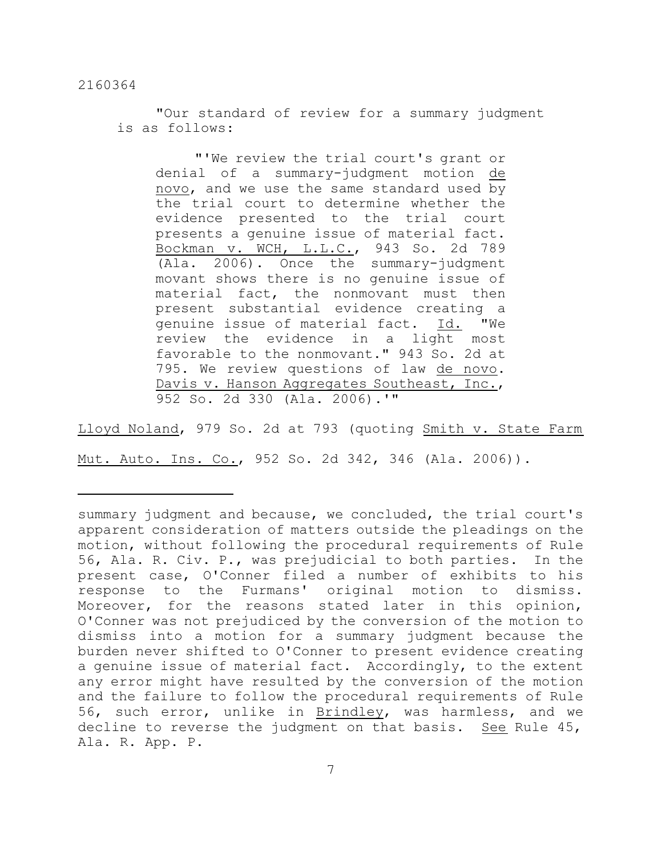"Our standard of review for a summary judgment is as follows:

"'We review the trial court's grant or denial of a summary-judgment motion de novo, and we use the same standard used by the trial court to determine whether the evidence presented to the trial court presents a genuine issue of material fact. Bockman v. WCH, L.L.C., 943 So. 2d 789 (Ala. 2006). Once the summary-judgment movant shows there is no genuine issue of material fact, the nonmovant must then present substantial evidence creating a genuine issue of material fact. Id. "We review the evidence in a light most favorable to the nonmovant." 943 So. 2d at 795. We review questions of law de novo. Davis v. Hanson Aggregates Southeast, Inc., 952 So. 2d 330 (Ala. 2006).'"

Lloyd Noland, 979 So. 2d at 793 (quoting Smith v. State Farm Mut. Auto. Ins. Co., 952 So. 2d 342, 346 (Ala. 2006)).

summary judgment and because, we concluded, the trial court's apparent consideration of matters outside the pleadings on the motion, without following the procedural requirements of Rule 56, Ala. R. Civ. P., was prejudicial to both parties. In the present case, O'Conner filed a number of exhibits to his response to the Furmans' original motion to dismiss. Moreover, for the reasons stated later in this opinion, O'Conner was not prejudiced by the conversion of the motion to dismiss into a motion for a summary judgment because the burden never shifted to O'Conner to present evidence creating a genuine issue of material fact. Accordingly, to the extent any error might have resulted by the conversion of the motion and the failure to follow the procedural requirements of Rule 56, such error, unlike in Brindley, was harmless, and we decline to reverse the judgment on that basis. See Rule 45, Ala. R. App. P.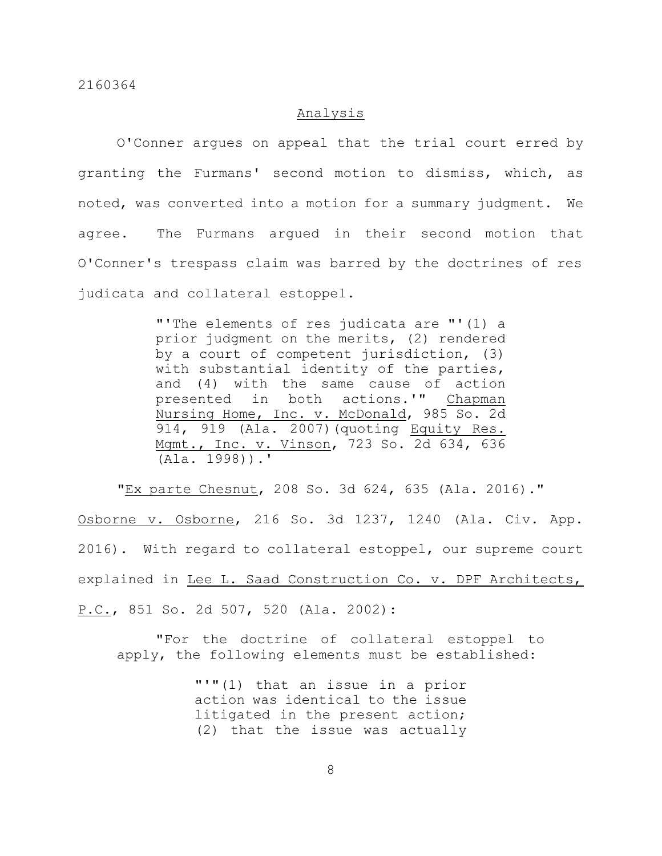# Analysis

O'Conner argues on appeal that the trial court erred by granting the Furmans' second motion to dismiss, which, as noted, was converted into a motion for a summary judgment. We agree. The Furmans argued in their second motion that O'Conner's trespass claim was barred by the doctrines of res judicata and collateral estoppel.

> "'The elements of res judicata are "'(1) a prior judgment on the merits, (2) rendered by a court of competent jurisdiction, (3) with substantial identity of the parties, and (4) with the same cause of action presented in both actions.'" Chapman Nursing Home, Inc. v. McDonald, 985 So. 2d 914, 919 (Ala. 2007)(quoting Equity Res. Mgmt., Inc. v. Vinson, 723 So. 2d 634, 636 (Ala. 1998)).'

"Ex parte Chesnut, 208 So. 3d 624, 635 (Ala. 2016)." Osborne v. Osborne, 216 So. 3d 1237, 1240 (Ala. Civ. App. 2016). With regard to collateral estoppel, our supreme court explained in Lee L. Saad Construction Co. v. DPF Architects, P.C., 851 So. 2d 507, 520 (Ala. 2002):

"For the doctrine of collateral estoppel to apply, the following elements must be established:

> "'"(1) that an issue in a prior action was identical to the issue litigated in the present action; (2) that the issue was actually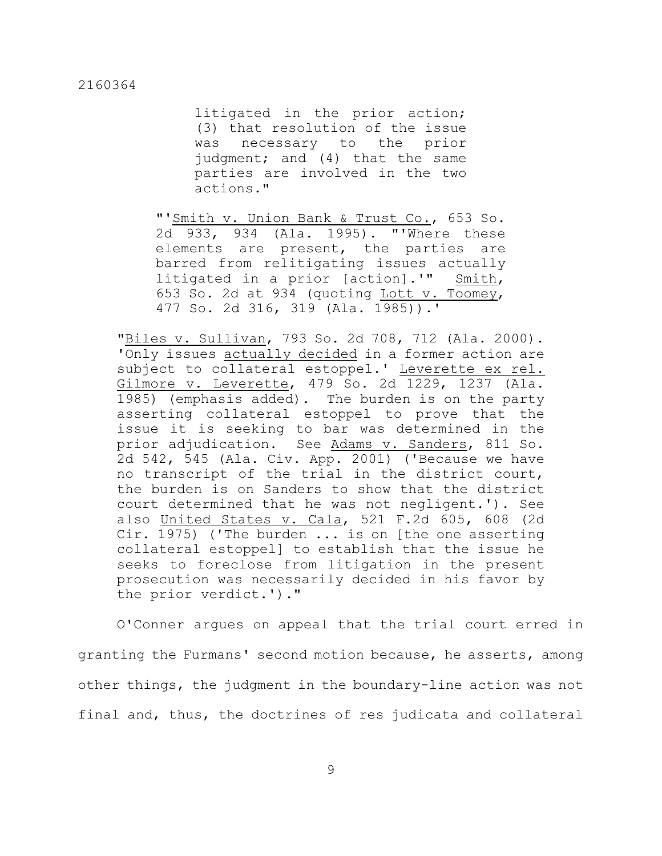litigated in the prior action; (3) that resolution of the issue was necessary to the prior judgment; and (4) that the same parties are involved in the two actions."

"'Smith v. Union Bank & Trust Co., 653 So. 2d 933, 934 (Ala. 1995). "'Where these elements are present, the parties are barred from relitigating issues actually litigated in a prior [action].'" Smith, 653 So. 2d at 934 (quoting Lott v. Toomey, 477 So. 2d 316, 319 (Ala. 1985)).'

"Biles v. Sullivan, 793 So. 2d 708, 712 (Ala. 2000). 'Only issues actually decided in a former action are subject to collateral estoppel.' Leverette ex rel. Gilmore v. Leverette, 479 So. 2d 1229, 1237 (Ala. 1985) (emphasis added). The burden is on the party asserting collateral estoppel to prove that the issue it is seeking to bar was determined in the prior adjudication. See Adams v. Sanders, 811 So. 2d 542, 545 (Ala. Civ. App. 2001) ('Because we have no transcript of the trial in the district court, the burden is on Sanders to show that the district court determined that he was not negligent.'). See also United States v. Cala, 521 F.2d 605, 608 (2d Cir. 1975) ('The burden ... is on [the one asserting collateral estoppel] to establish that the issue he seeks to foreclose from litigation in the present prosecution was necessarily decided in his favor by the prior verdict.')."

O'Conner argues on appeal that the trial court erred in granting the Furmans' second motion because, he asserts, among other things, the judgment in the boundary-line action was not final and, thus, the doctrines of res judicata and collateral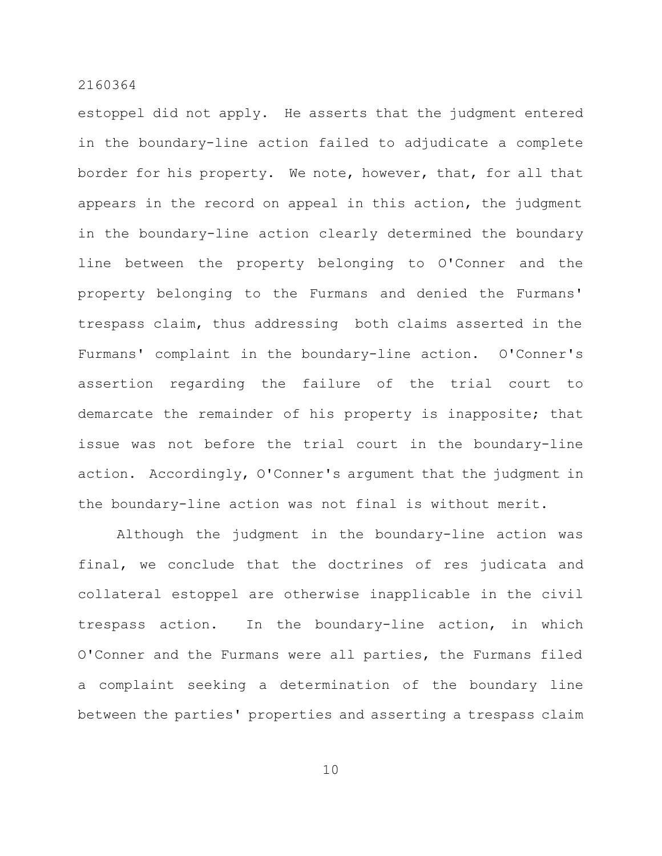estoppel did not apply. He asserts that the judgment entered in the boundary-line action failed to adjudicate a complete border for his property. We note, however, that, for all that appears in the record on appeal in this action, the judgment in the boundary-line action clearly determined the boundary line between the property belonging to O'Conner and the property belonging to the Furmans and denied the Furmans' trespass claim, thus addressing both claims asserted in the Furmans' complaint in the boundary-line action. O'Conner's assertion regarding the failure of the trial court to demarcate the remainder of his property is inapposite; that issue was not before the trial court in the boundary-line action. Accordingly, O'Conner's argument that the judgment in the boundary-line action was not final is without merit.

Although the judgment in the boundary-line action was final, we conclude that the doctrines of res judicata and collateral estoppel are otherwise inapplicable in the civil trespass action. In the boundary-line action, in which O'Conner and the Furmans were all parties, the Furmans filed a complaint seeking a determination of the boundary line between the parties' properties and asserting a trespass claim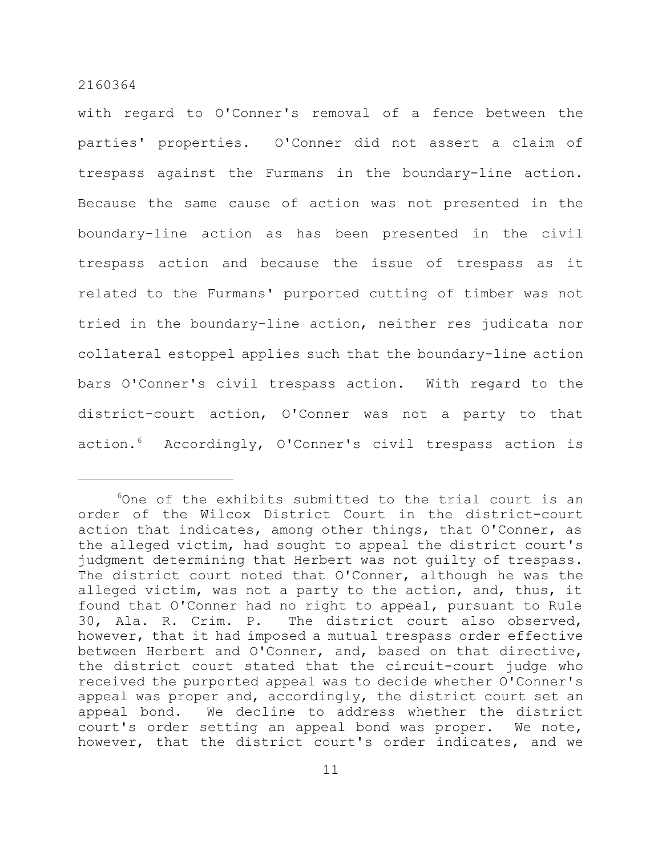with regard to O'Conner's removal of a fence between the parties' properties. O'Conner did not assert a claim of trespass against the Furmans in the boundary-line action. Because the same cause of action was not presented in the boundary-line action as has been presented in the civil trespass action and because the issue of trespass as it related to the Furmans' purported cutting of timber was not tried in the boundary-line action, neither res judicata nor collateral estoppel applies such that the boundary-line action bars O'Conner's civil trespass action. With regard to the district-court action, O'Conner was not a party to that action.<sup>6</sup> Accordingly, O'Conner's civil trespass action is

 $60n$ e of the exhibits submitted to the trial court is an order of the Wilcox District Court in the district-court action that indicates, among other things, that O'Conner, as the alleged victim, had sought to appeal the district court's judgment determining that Herbert was not guilty of trespass. The district court noted that O'Conner, although he was the alleged victim, was not a party to the action, and, thus, it found that O'Conner had no right to appeal, pursuant to Rule 30, Ala. R. Crim. P. The district court also observed, however, that it had imposed a mutual trespass order effective between Herbert and O'Conner, and, based on that directive, the district court stated that the circuit-court judge who received the purported appeal was to decide whether O'Conner's appeal was proper and, accordingly, the district court set an appeal bond. We decline to address whether the district court's order setting an appeal bond was proper. We note, however, that the district court's order indicates, and we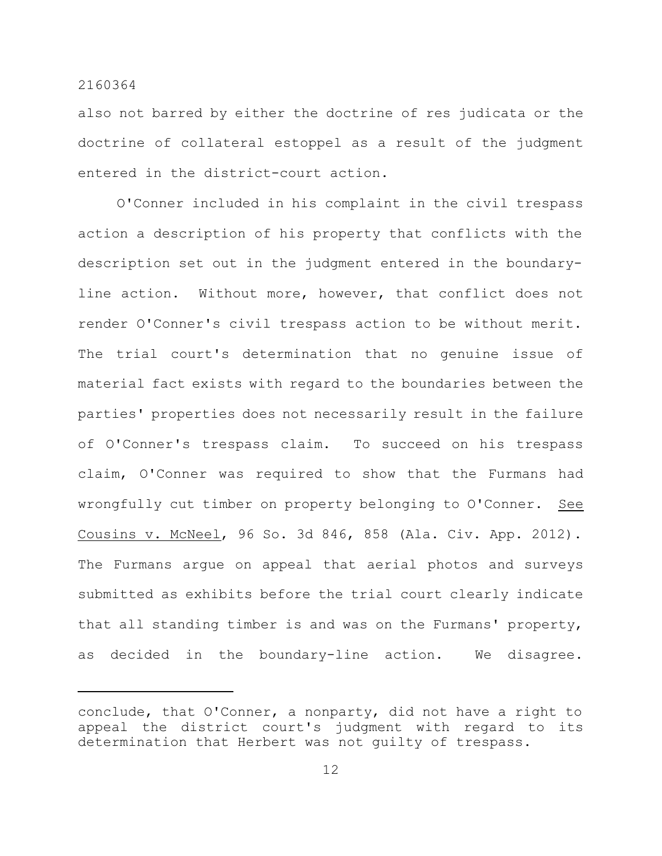also not barred by either the doctrine of res judicata or the doctrine of collateral estoppel as a result of the judgment entered in the district-court action.

O'Conner included in his complaint in the civil trespass action a description of his property that conflicts with the description set out in the judgment entered in the boundaryline action. Without more, however, that conflict does not render O'Conner's civil trespass action to be without merit. The trial court's determination that no genuine issue of material fact exists with regard to the boundaries between the parties' properties does not necessarily result in the failure of O'Conner's trespass claim. To succeed on his trespass claim, O'Conner was required to show that the Furmans had wrongfully cut timber on property belonging to O'Conner. See Cousins v. McNeel, 96 So. 3d 846, 858 (Ala. Civ. App. 2012). The Furmans argue on appeal that aerial photos and surveys submitted as exhibits before the trial court clearly indicate that all standing timber is and was on the Furmans' property, as decided in the boundary-line action. We disagree.

conclude, that O'Conner, a nonparty, did not have a right to appeal the district court's judgment with regard to its determination that Herbert was not guilty of trespass.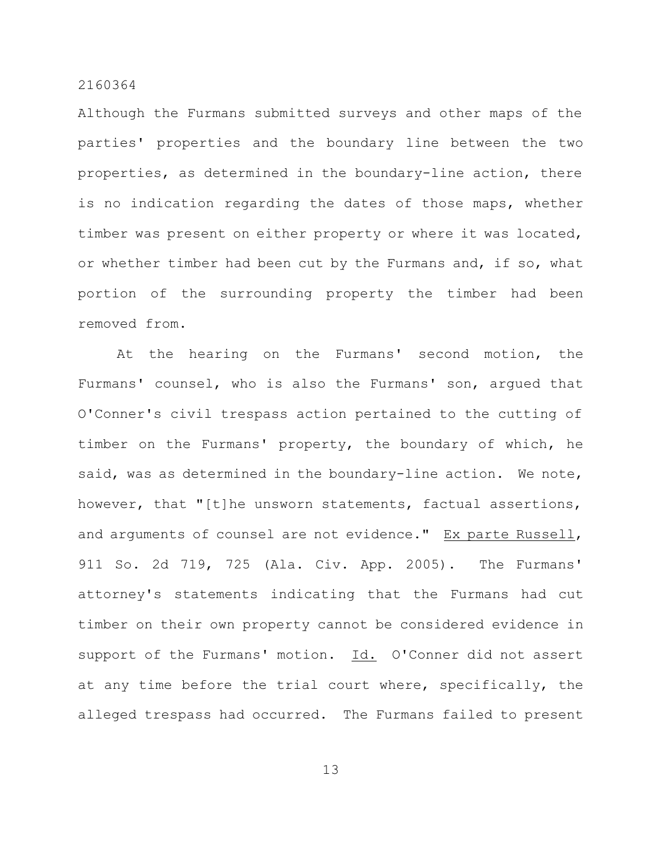Although the Furmans submitted surveys and other maps of the parties' properties and the boundary line between the two properties, as determined in the boundary-line action, there is no indication regarding the dates of those maps, whether timber was present on either property or where it was located, or whether timber had been cut by the Furmans and, if so, what portion of the surrounding property the timber had been removed from.

At the hearing on the Furmans' second motion, the Furmans' counsel, who is also the Furmans' son, argued that O'Conner's civil trespass action pertained to the cutting of timber on the Furmans' property, the boundary of which, he said, was as determined in the boundary-line action. We note, however, that "[t]he unsworn statements, factual assertions, and arguments of counsel are not evidence." Ex parte Russell, 911 So. 2d 719, 725 (Ala. Civ. App. 2005). The Furmans' attorney's statements indicating that the Furmans had cut timber on their own property cannot be considered evidence in support of the Furmans' motion. Id. O'Conner did not assert at any time before the trial court where, specifically, the alleged trespass had occurred. The Furmans failed to present